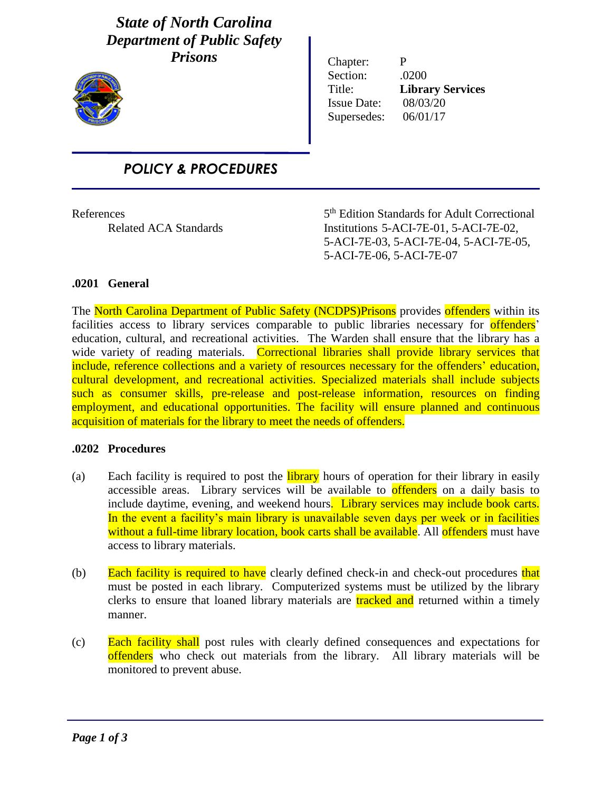## *State of North Carolina Department of Public Safety Prisons*



Chapter: P Section: .0200 Title: **Library Services** Issue Date: 08/03/20 Supersedes: 06/01/17

# *POLICY & PROCEDURES*

**References** 

i

5<sup>th</sup> Edition Standards for Adult Correctional Related ACA Standards Institutions 5-ACI-7E-01, 5-ACI-7E-02, 5-ACI-7E-03, 5-ACI-7E-04, 5-ACI-7E-05, 5-ACI-7E-06, 5-ACI-7E-07

### **.0201 General**

The North Carolina Department of Public Safety (NCDPS)Prisons provides offenders within its facilities access to library services comparable to public libraries necessary for **offenders** education, cultural, and recreational activities. The Warden shall ensure that the library has a wide variety of reading materials. Correctional libraries shall provide library services that include, reference collections and a variety of resources necessary for the offenders' education, cultural development, and recreational activities. Specialized materials shall include subjects such as consumer skills, pre-release and post-release information, resources on finding employment, and educational opportunities. The facility will ensure planned and continuous acquisition of materials for the library to meet the needs of offenders.

#### **.0202 Procedures**

- (a) Each facility is required to post the **library** hours of operation for their library in easily accessible areas. Library services will be available to **offenders** on a daily basis to include daytime, evening, and weekend hours. Library services may include book carts. In the event a facility's main library is unavailable seven days per week or in facilities without a full-time library location, book carts shall be available. All offenders must have access to library materials.
- (b) Each facility is required to have clearly defined check-in and check-out procedures that must be posted in each library. Computerized systems must be utilized by the library clerks to ensure that loaned library materials are tracked and returned within a timely manner.
- (c) Each facility shall post rules with clearly defined consequences and expectations for offenders who check out materials from the library. All library materials will be monitored to prevent abuse.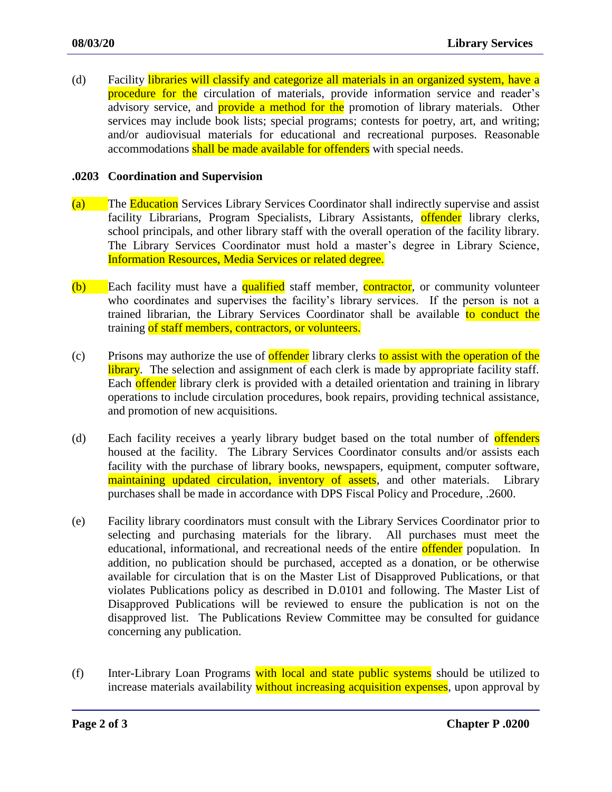(d) Facility libraries will classify and categorize all materials in an organized system, have a procedure for the circulation of materials, provide information service and reader's advisory service, and **provide a method for the** promotion of library materials. Other services may include book lists; special programs; contests for poetry, art, and writing; and/or audiovisual materials for educational and recreational purposes. Reasonable accommodations shall be made available for offenders with special needs.

#### **.0203 Coordination and Supervision**

- (a) The Education Services Library Services Coordinator shall indirectly supervise and assist facility Librarians, Program Specialists, Library Assistants, **offender** library clerks, school principals, and other library staff with the overall operation of the facility library. The Library Services Coordinator must hold a master's degree in Library Science, Information Resources, Media Services or related degree.
- (b) Each facility must have a qualified staff member, contractor, or community volunteer who coordinates and supervises the facility's library services. If the person is not a trained librarian, the Library Services Coordinator shall be available to conduct the training of staff members, contractors, or volunteers.
- (c) Prisons may authorize the use of **offender** library clerks to assist with the operation of the library. The selection and assignment of each clerk is made by appropriate facility staff. Each offender library clerk is provided with a detailed orientation and training in library operations to include circulation procedures, book repairs, providing technical assistance, and promotion of new acquisitions.
- (d) Each facility receives a yearly library budget based on the total number of **offenders** housed at the facility. The Library Services Coordinator consults and/or assists each facility with the purchase of library books, newspapers, equipment, computer software, maintaining updated circulation, inventory of assets, and other materials. Library purchases shall be made in accordance with DPS Fiscal Policy and Procedure, .2600.
- (e) Facility library coordinators must consult with the Library Services Coordinator prior to selecting and purchasing materials for the library. All purchases must meet the educational, informational, and recreational needs of the entire offender population. In addition, no publication should be purchased, accepted as a donation, or be otherwise available for circulation that is on the Master List of Disapproved Publications, or that violates Publications policy as described in D.0101 and following. The Master List of Disapproved Publications will be reviewed to ensure the publication is not on the disapproved list. The Publications Review Committee may be consulted for guidance concerning any publication.
- (f) Inter-Library Loan Programs with local and state public systems should be utilized to increase materials availability without increasing acquisition expenses, upon approval by